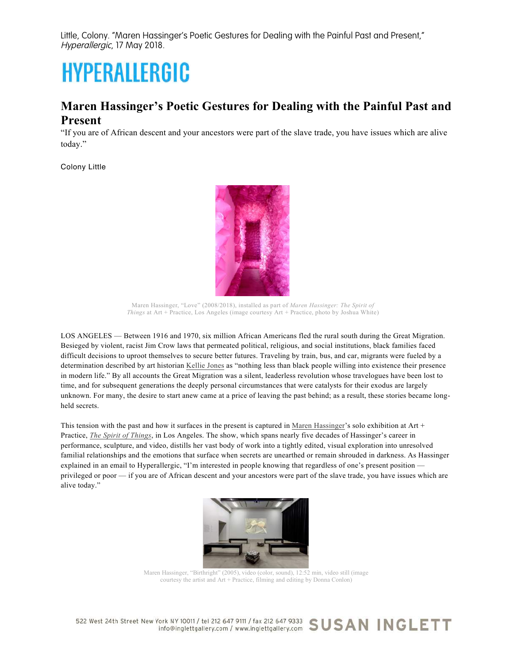Little, Colony. "Maren Hassinger's Poetic Gestures for Dealing with the Painful Past and Present," Hyperallergic, 17 May 2018.

## **HYPERALLERGIC**

## **Maren Hassinger's Poetic Gestures for Dealing with the Painful Past and Present**

"If you are of African descent and your ancestors were part of the slave trade, you have issues which are alive today."

Colony Little



Maren Hassinger, "Love" (2008/2018), installed as part of *Maren Hassinger: The Spirit of Things* at Art + Practice, Los Angeles (image courtesy Art + Practice, photo by Joshua White)

LOS ANGELES — Between 1916 and 1970, six million African Americans fled the rural south during the Great Migration. Besieged by violent, racist Jim Crow laws that permeated political, religious, and social institutions, black families faced difficult decisions to uproot themselves to secure better futures. Traveling by train, bus, and car, migrants were fueled by a determination described by art historian Kellie Jones as "nothing less than black people willing into existence their presence in modern life." By all accounts the Great Migration was a silent, leaderless revolution whose travelogues have been lost to time, and for subsequent generations the deeply personal circumstances that were catalysts for their exodus are largely unknown. For many, the desire to start anew came at a price of leaving the past behind; as a result, these stories became longheld secrets.

This tension with the past and how it surfaces in the present is captured in Maren Hassinger's solo exhibition at Art + Practice, *The Spirit of Things*, in Los Angeles. The show, which spans nearly five decades of Hassinger's career in performance, sculpture, and video, distills her vast body of work into a tightly edited, visual exploration into unresolved familial relationships and the emotions that surface when secrets are unearthed or remain shrouded in darkness. As Hassinger explained in an email to Hyperallergic, "I'm interested in people knowing that regardless of one's present position privileged or poor — if you are of African descent and your ancestors were part of the slave trade, you have issues which are alive today."



Maren Hassinger, "Birthright" (2005), video (color, sound), 12:52 min, video still (image courtesy the artist and Art + Practice, filming and editing by Donna Conlon)

522 West 24th Street New York NY 10011 / tel 212 647 9111 / fax 212 647 9333 SUSAN INGLETT